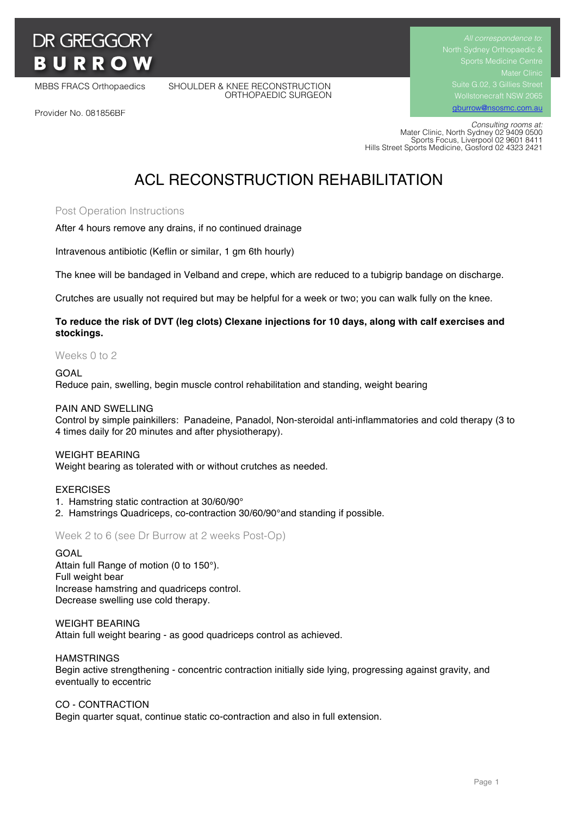

MBBS FRACS Orthopaedics SHOULDER & KNEE RECONSTRUCTION ORTHOPAEDIC SURGEON Suite G.02, 3 Gillies Street gburrow@nsosmc.com.au

Provider No. 081856BF

 *Consulting rooms at:* Mater Clinic, North Sydney 02 9409 0500 Sports Focus, Liverpool 02 9601 8411 Hills Street Sports Medicine, Gosford 02 4323 2421

# ACL RECONSTRUCTION REHABILITATION

## Post Operation Instructions

After 4 hours remove any drains, if no continued drainage

Intravenous antibiotic (Keflin or similar, 1 gm 6th hourly)

The knee will be bandaged in Velband and crepe, which are reduced to a tubigrip bandage on discharge.

Crutches are usually not required but may be helpful for a week or two; you can walk fully on the knee.

## **To reduce the risk of DVT (leg clots) Clexane injections for 10 days, along with calf exercises and stockings.**

#### Weeks 0 to 2

#### GOAL

Reduce pain, swelling, begin muscle control rehabilitation and standing, weight bearing

#### PAIN AND SWELLING

Control by simple painkillers: Panadeine, Panadol, Non-steroidal anti-inflammatories and cold therapy (3 to 4 times daily for 20 minutes and after physiotherapy).

#### WEIGHT BEARING

Weight bearing as tolerated with or without crutches as needed.

## EXERCISES

- 1. Hamstring static contraction at 30/60/90°
- 2. Hamstrings Quadriceps, co-contraction 30/60/90°and standing if possible.

Week 2 to 6 (see Dr Burrow at 2 weeks Post-Op)

#### GOAL

Attain full Range of motion (0 to 150°). Full weight bear Increase hamstring and quadriceps control. Decrease swelling use cold therapy.

#### WEIGHT BEARING

Attain full weight bearing - as good quadriceps control as achieved.

#### **HAMSTRINGS**

Begin active strengthening - concentric contraction initially side lying, progressing against gravity, and eventually to eccentric

#### CO - CONTRACTION

Begin quarter squat, continue static co-contraction and also in full extension.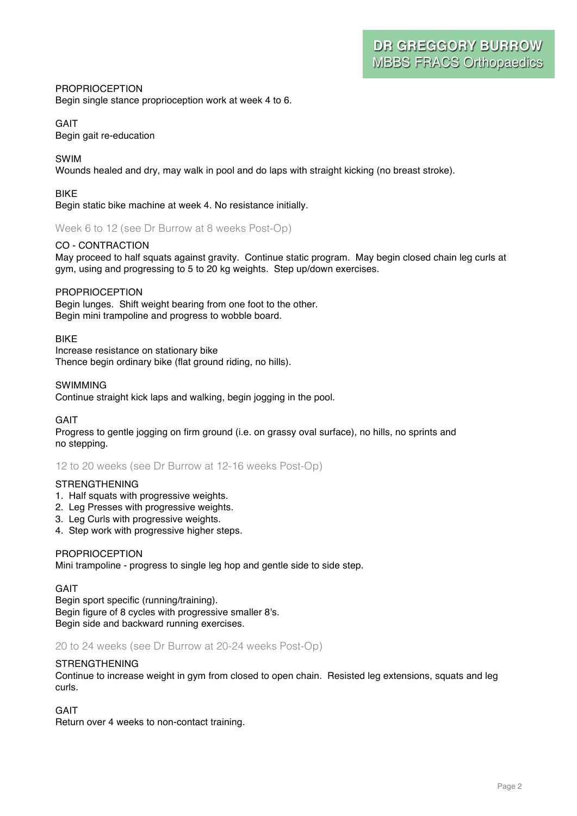## PROPRIOCEPTION Begin single stance proprioception work at week 4 to 6.

# GAIT

Begin gait re-education

# SWIM

Wounds healed and dry, may walk in pool and do laps with straight kicking (no breast stroke).

## **RIKF**

Begin static bike machine at week 4. No resistance initially.

Week 6 to 12 (see Dr Burrow at 8 weeks Post-Op)

## CO - CONTRACTION

May proceed to half squats against gravity. Continue static program. May begin closed chain leg curls at gym, using and progressing to 5 to 20 kg weights. Step up/down exercises.

# PROPRIOCEPTION

Begin lunges. Shift weight bearing from one foot to the other. Begin mini trampoline and progress to wobble board.

## BIKE

Increase resistance on stationary bike Thence begin ordinary bike (flat ground riding, no hills).

## SWIMMING

Continue straight kick laps and walking, begin jogging in the pool.

## GAIT

Progress to gentle jogging on firm ground (i.e. on grassy oval surface), no hills, no sprints and no stepping.

# 12 to 20 weeks (see Dr Burrow at 12-16 weeks Post-Op)

# **STRENGTHENING**

- 1. Half squats with progressive weights.
- 2. Leg Presses with progressive weights.
- 3. Leg Curls with progressive weights.
- 4. Step work with progressive higher steps.

## **PROPRIOCEPTION**

Mini trampoline - progress to single leg hop and gentle side to side step.

## GAIT

Begin sport specific (running/training). Begin figure of 8 cycles with progressive smaller 8's. Begin side and backward running exercises.

## 20 to 24 weeks (see Dr Burrow at 20-24 weeks Post-Op)

## STRENGTHENING

Continue to increase weight in gym from closed to open chain. Resisted leg extensions, squats and leg curls.

## GAIT

Return over 4 weeks to non-contact training.